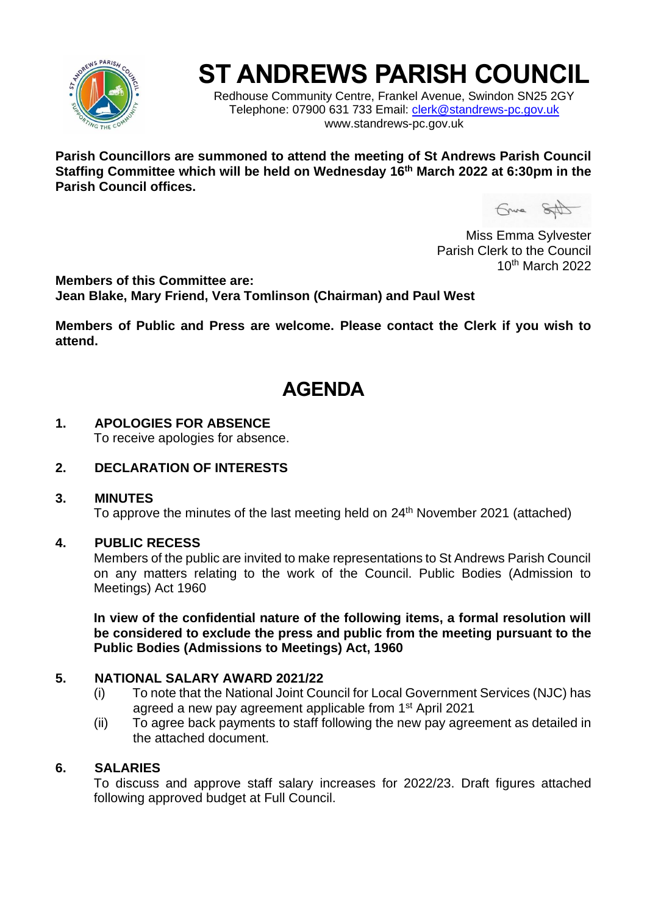

# **ST ANDREWS PARISH COUNCIL**

Redhouse Community Centre, Frankel Avenue, Swindon SN25 2GY Telephone: 07900 631 733 Email: [clerk@standrews-pc.gov.uk](mailto:clerk@standrews-pc.gov.uk) www.standrews-pc.gov.uk

**Parish Councillors are summoned to attend the meeting of St Andrews Parish Council Staffing Committee which will be held on Wednesday 16th March 2022 at 6:30pm in the Parish Council offices.**

Guna SAD

Miss Emma Sylvester Parish Clerk to the Council 10th March 2022

**Members of this Committee are: Jean Blake, Mary Friend, Vera Tomlinson (Chairman) and Paul West**

**Members of Public and Press are welcome. Please contact the Clerk if you wish to attend.**

## **AGENDA**

#### **1. APOLOGIES FOR ABSENCE**

To receive apologies for absence.

#### **2. DECLARATION OF INTERESTS**

#### **3. MINUTES**

To approve the minutes of the last meeting held on 24<sup>th</sup> November 2021 (attached)

#### **4. PUBLIC RECESS**

Members of the public are invited to make representations to St Andrews Parish Council on any matters relating to the work of the Council. Public Bodies (Admission to Meetings) Act 1960

**In view of the confidential nature of the following items, a formal resolution will be considered to exclude the press and public from the meeting pursuant to the Public Bodies (Admissions to Meetings) Act, 1960**

#### **5. NATIONAL SALARY AWARD 2021/22**

- (i) To note that the National Joint Council for Local Government Services (NJC) has agreed a new pay agreement applicable from 1st April 2021
- (ii) To agree back payments to staff following the new pay agreement as detailed in the attached document.

#### **6. SALARIES**

To discuss and approve staff salary increases for 2022/23. Draft figures attached following approved budget at Full Council.